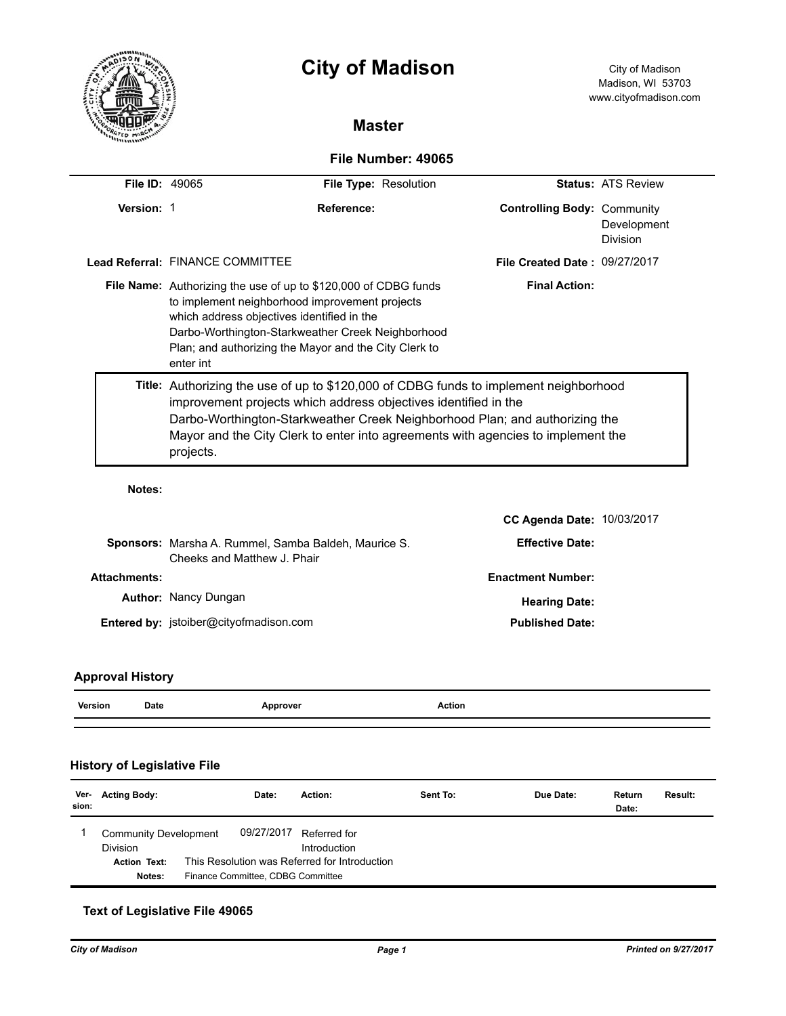

# **City of Madison** City of Madison

# **Master**

# **File Number: 49065**

| <b>File ID: 49065</b> |                                                                                                                                                                                                                                                                                                                                          | File Type: Resolution                | <b>Status: ATS Review</b>      |
|-----------------------|------------------------------------------------------------------------------------------------------------------------------------------------------------------------------------------------------------------------------------------------------------------------------------------------------------------------------------------|--------------------------------------|--------------------------------|
| Version: 1            | Reference:                                                                                                                                                                                                                                                                                                                               | <b>Controlling Body: Community</b>   | Development<br><b>Division</b> |
|                       | Lead Referral: FINANCE COMMITTEE                                                                                                                                                                                                                                                                                                         | <b>File Created Date: 09/27/2017</b> |                                |
|                       | <b>Final Action:</b><br><b>File Name:</b> Authorizing the use of up to \$120,000 of CDBG funds<br>to implement neighborhood improvement projects<br>which address objectives identified in the<br>Darbo-Worthington-Starkweather Creek Neighborhood<br>Plan; and authorizing the Mayor and the City Clerk to<br>enter int                |                                      |                                |
|                       | Title: Authorizing the use of up to \$120,000 of CDBG funds to implement neighborhood<br>improvement projects which address objectives identified in the<br>Darbo-Worthington-Starkweather Creek Neighborhood Plan; and authorizing the<br>Mayor and the City Clerk to enter into agreements with agencies to implement the<br>projects. |                                      |                                |
| Notes:                |                                                                                                                                                                                                                                                                                                                                          |                                      |                                |
|                       |                                                                                                                                                                                                                                                                                                                                          | <b>CC Agenda Date: 10/03/2017</b>    |                                |
|                       | Sponsors: Marsha A. Rummel, Samba Baldeh, Maurice S.<br>Cheeks and Matthew J. Phair                                                                                                                                                                                                                                                      | <b>Effective Date:</b>               |                                |
| <b>Attachments:</b>   | <b>Enactment Number:</b>                                                                                                                                                                                                                                                                                                                 |                                      |                                |
|                       | <b>Author: Nancy Dungan</b><br><b>Hearing Date:</b>                                                                                                                                                                                                                                                                                      |                                      |                                |
|                       | Entered by: jstoiber@cityofmadison.com                                                                                                                                                                                                                                                                                                   | <b>Published Date:</b>               |                                |

## **Approval History**

# **History of Legislative File**

| Ver-<br>sion: | <b>Acting Body:</b>                                                              | Date:                                                                                            | Action:                      | Sent To: | Due Date: | Return<br>Date: | Result: |
|---------------|----------------------------------------------------------------------------------|--------------------------------------------------------------------------------------------------|------------------------------|----------|-----------|-----------------|---------|
|               | <b>Community Development</b><br><b>Division</b><br><b>Action Text:</b><br>Notes: | 09/27/2017<br>This Resolution was Referred for Introduction<br>Finance Committee, CDBG Committee | Referred for<br>Introduction |          |           |                 |         |

#### **Text of Legislative File 49065**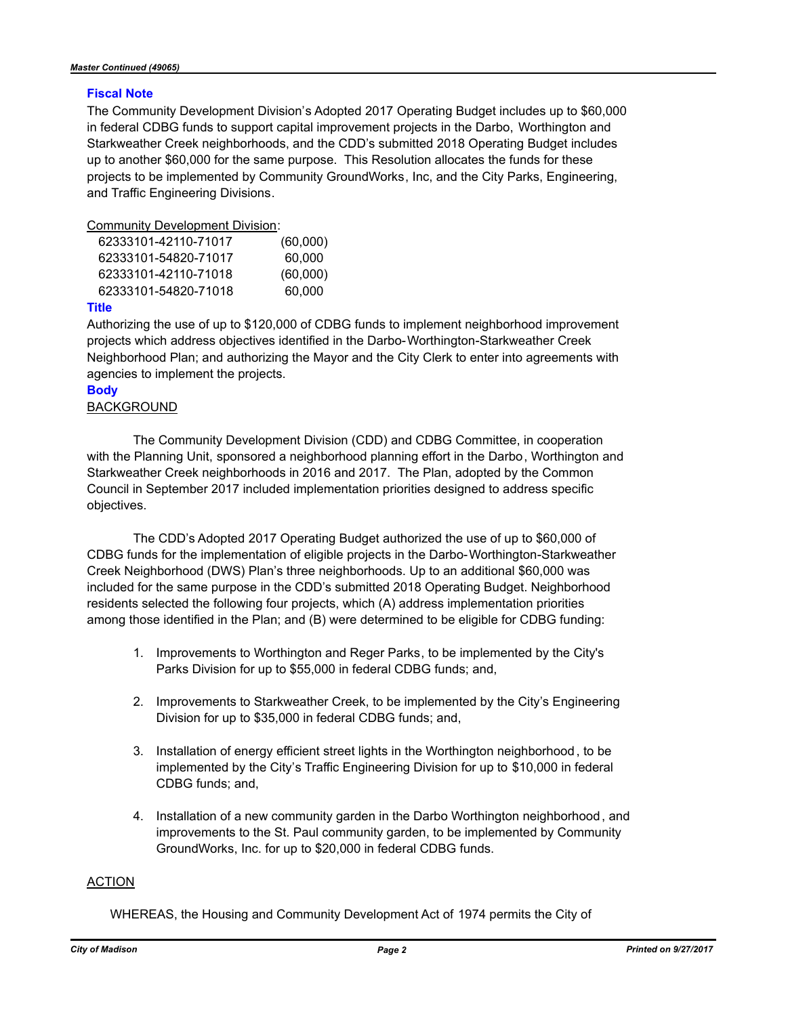#### **Fiscal Note**

The Community Development Division's Adopted 2017 Operating Budget includes up to \$60,000 in federal CDBG funds to support capital improvement projects in the Darbo, Worthington and Starkweather Creek neighborhoods, and the CDD's submitted 2018 Operating Budget includes up to another \$60,000 for the same purpose. This Resolution allocates the funds for these projects to be implemented by Community GroundWorks, Inc, and the City Parks, Engineering, and Traffic Engineering Divisions.

Community Development Division:

| 62333101-42110-71017 | (60,000) |
|----------------------|----------|
| 62333101-54820-71017 | 60,000   |
| 62333101-42110-71018 | (60,000) |
| 62333101-54820-71018 | 60,000   |
|                      |          |

#### **Title**

Authorizing the use of up to \$120,000 of CDBG funds to implement neighborhood improvement projects which address objectives identified in the Darbo-Worthington-Starkweather Creek Neighborhood Plan; and authorizing the Mayor and the City Clerk to enter into agreements with agencies to implement the projects.

## **Body**

## BACKGROUND

The Community Development Division (CDD) and CDBG Committee, in cooperation with the Planning Unit, sponsored a neighborhood planning effort in the Darbo, Worthington and Starkweather Creek neighborhoods in 2016 and 2017. The Plan, adopted by the Common Council in September 2017 included implementation priorities designed to address specific objectives.

The CDD's Adopted 2017 Operating Budget authorized the use of up to \$60,000 of CDBG funds for the implementation of eligible projects in the Darbo-Worthington-Starkweather Creek Neighborhood (DWS) Plan's three neighborhoods. Up to an additional \$60,000 was included for the same purpose in the CDD's submitted 2018 Operating Budget. Neighborhood residents selected the following four projects, which (A) address implementation priorities among those identified in the Plan; and (B) were determined to be eligible for CDBG funding:

- 1. Improvements to Worthington and Reger Parks, to be implemented by the City's Parks Division for up to \$55,000 in federal CDBG funds; and,
- 2. Improvements to Starkweather Creek, to be implemented by the City's Engineering Division for up to \$35,000 in federal CDBG funds; and,
- 3. Installation of energy efficient street lights in the Worthington neighborhood , to be implemented by the City's Traffic Engineering Division for up to \$10,000 in federal CDBG funds; and,
- 4. Installation of a new community garden in the Darbo Worthington neighborhood, and improvements to the St. Paul community garden, to be implemented by Community GroundWorks, Inc. for up to \$20,000 in federal CDBG funds.

#### ACTION

WHEREAS, the Housing and Community Development Act of 1974 permits the City of